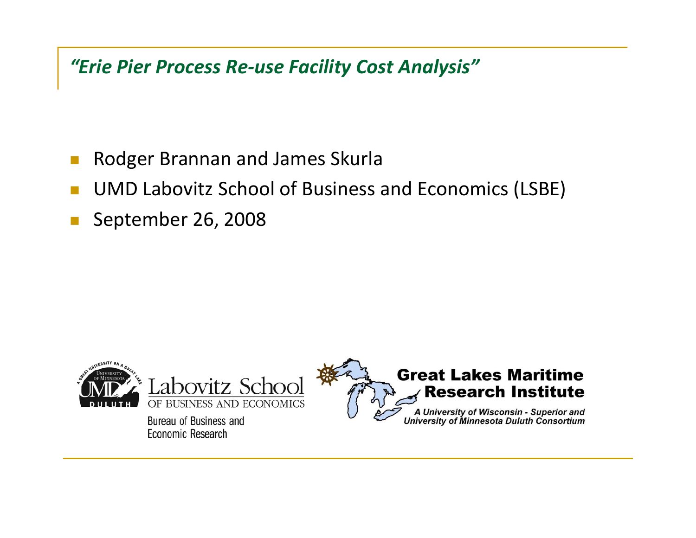*"Erie Pier Process Re‐use Facility Cost Analysis"*

- $\mathbb{R}^3$ Rodger Brannan and James Skurla
- П UMD Labovitz School of Business and Economics (LSBE)
- $\mathbb{R}^2$ September 26, 2008

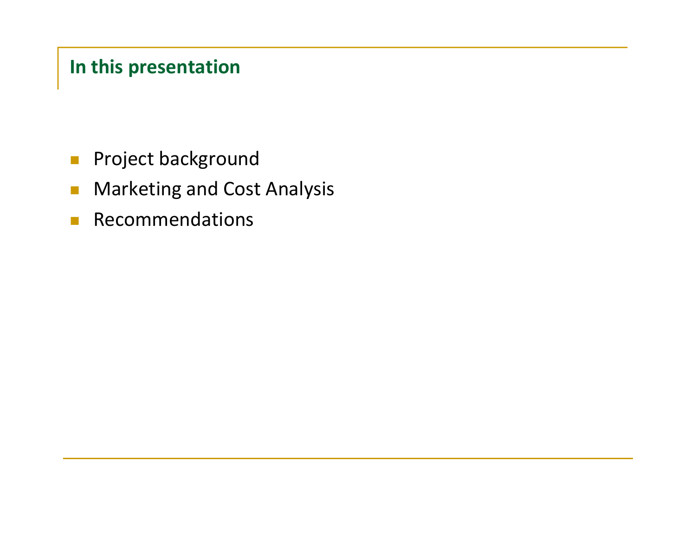# **In this presentation**

- $\mathcal{L}_{\mathcal{A}}$ Project background
- $\mathcal{L}_{\mathcal{A}}$ Marketing and Cost Analysis
- $\mathcal{L}_{\mathcal{A}}$ Recommendations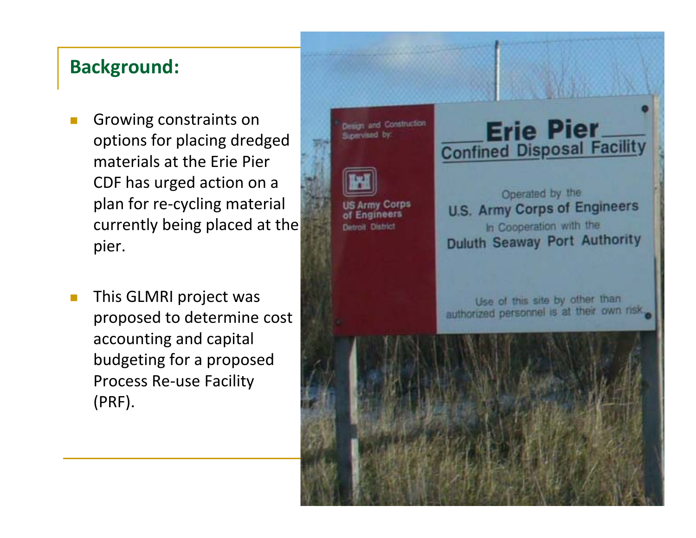## **Background:**

- T. Growing constraints on options for placing dredged materials at the Erie Pier CDF has urged action on <sup>a</sup> plan for re‐cycling material currently being placed at the pier.
- $\mathbb{R}^3$ This GLMRI project was proposed to determine cost accounting and capital budgeting for <sup>a</sup> proposed Process Re‐use Facility (PRF).

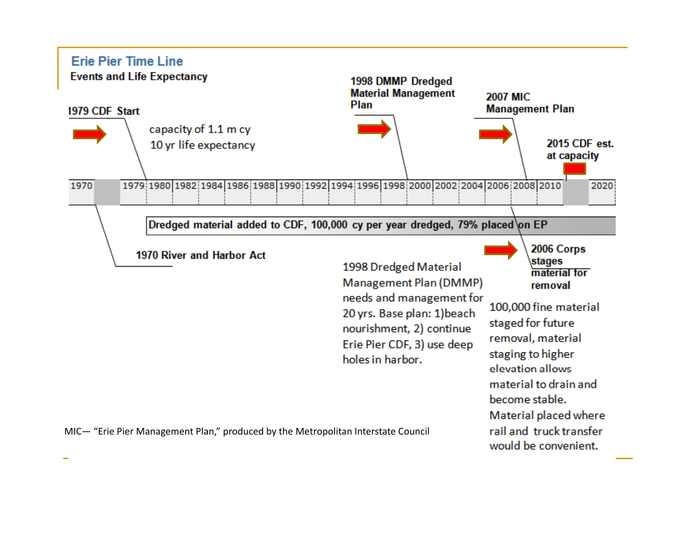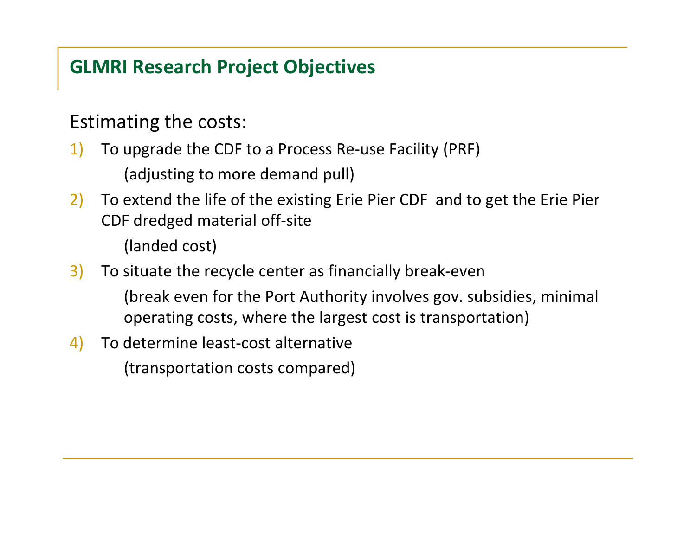# **GLMRI Research Project Objectives**

# Estimating the costs:

- 1) To upgrade the CDF to <sup>a</sup> Process Re‐use Facility (PRF) (adjusting to more demand pull)
- 2) To extend the life of the existing Erie Pier CDF and to get the Erie Pier CDF dredged material off‐site

(landed cost)

- 3) To situate the recycle center as financially break‐even
	- (break even for the Port Authority involves gov. subsidies, minimal operating costs, where the largest cost is transportation)
- 4) To determine least‐cost alternative (transportation costs compared)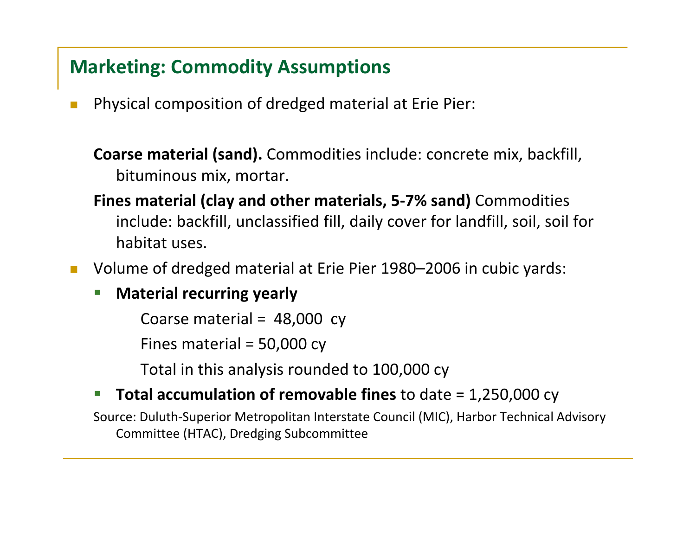# **Marketing: Commodity Assumptions**

 $\mathcal{C}^{\mathcal{A}}$ Physical composition of dredged material at Erie Pier:

**Coarse material (sand).** Commodities include: concrete mix, backfill, bituminous mix, mortar.

**Fines material (clay and other materials, 5‐7% sand)** Commodities include: backfill, unclassified fill, daily cover for landfill, soil, soil for habitat uses.

 $\mathcal{C}^{\mathcal{A}}$ Volume of dredged material at Erie Pier 1980–2006 in cubic yards:

 $\mathcal{L}_{\mathcal{A}}$ **Material recurring yearly**

Coarse material <sup>=</sup> 48,000 cy

Fines material <sup>=</sup> 50,000 cy

Total in this analysis rounded to 100,000 cy

#### $\mathcal{L}_{\mathcal{A}}$ **Total accumulation of removable fines** to date <sup>=</sup> 1,250,000 cy

Source: Duluth‐Superior Metropolitan Interstate Council (MIC), Harbor Technical Advisory Committee (HTAC), Dredging Subcommittee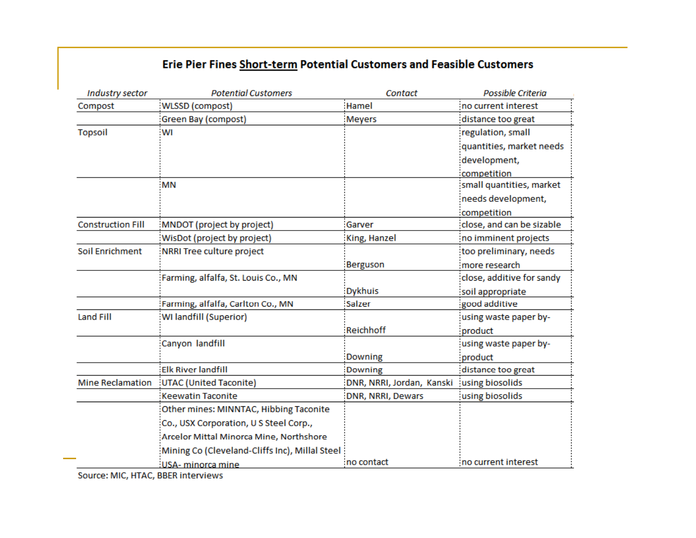#### Erie Pier Fines Short-term Potential Customers and Feasible Customers

| Industry sector          | <b>Potential Customers</b>                     | <b>Contact</b>            | Possible Criteria         |
|--------------------------|------------------------------------------------|---------------------------|---------------------------|
| Compost                  | WLSSD (compost)                                | Hamel                     | no current interest       |
|                          | Green Bay (compost)                            | <b>Meyers</b>             | distance too great        |
| <b>Topsoil</b>           | WI                                             |                           | regulation, small         |
|                          |                                                |                           | quantities, market needs  |
|                          |                                                |                           | development,              |
|                          |                                                |                           | competition               |
|                          | <b>MN</b>                                      |                           | small quantities, market  |
|                          |                                                |                           | needs development,        |
|                          |                                                |                           | competition               |
| <b>Construction Fill</b> | MNDOT (project by project)                     | Garver                    | close, and can be sizable |
|                          | WisDot (project by project)                    | King, Hanzel              | no imminent projects      |
| Soil Enrichment          | NRRI Tree culture project                      |                           | too preliminary, needs    |
|                          |                                                | Berguson                  | more research             |
|                          | Farming, alfalfa, St. Louis Co., MN            |                           | close, additive for sandy |
|                          |                                                | <b>Dykhuis</b>            | soil appropriate          |
|                          | Farming, alfalfa, Carlton Co., MN              | Salzer                    | good additive             |
| <b>Land Fill</b>         | WI landfill (Superior)                         |                           | using waste paper by-     |
|                          |                                                | Reichhoff                 | product                   |
|                          | Canyon landfill                                |                           | using waste paper by-     |
|                          |                                                | <b>Downing</b>            | product                   |
|                          | <b>Elk River landfill</b>                      | <b>Downing</b>            | distance too great        |
| <b>Mine Reclamation</b>  | UTAC (United Taconite)                         | DNR, NRRI, Jordan, Kanski | using biosolids           |
|                          | <b>Keewatin Taconite</b>                       | DNR, NRRI, Dewars         | using biosolids           |
|                          | Other mines: MINNTAC, Hibbing Taconite         |                           |                           |
|                          | Co., USX Corporation, U S Steel Corp.,         |                           |                           |
|                          | Arcelor Mittal Minorca Mine, Northshore        |                           |                           |
|                          | Mining Co (Cleveland-Cliffs Inc), Millal Steel |                           |                           |
|                          | USA- minorca mine                              | no contact:               | no current interest       |

Source: MIC, HTAC, BBER interviews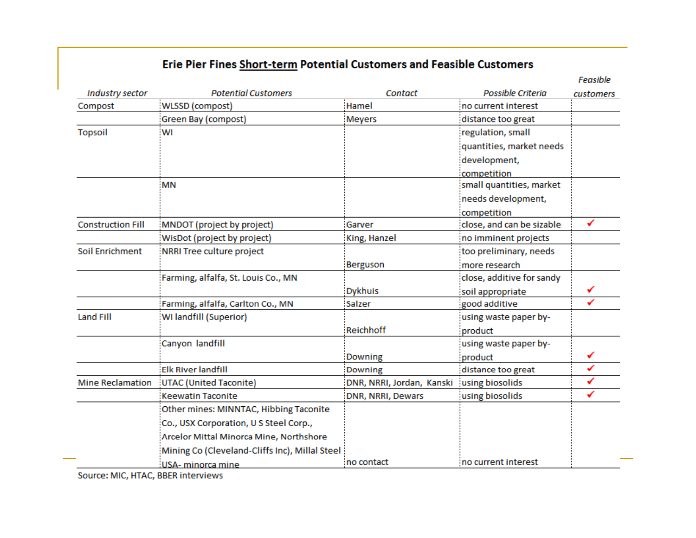#### Erie Pier Fines Short-term Potential Customers and Feasible Customers

|                          |                                                |                           |                           | Feasible  |
|--------------------------|------------------------------------------------|---------------------------|---------------------------|-----------|
| Industry sector          | <b>Potential Customers</b>                     | Contact                   | Possible Criteria         | customers |
| Compost                  | WLSSD (compost)                                | Hamel                     | no current interest       |           |
|                          | Green Bay (compost)                            | Meyers                    | distance too great        |           |
| <b>Topsoil</b>           | WI                                             |                           | regulation, small         |           |
|                          |                                                |                           | quantities, market needs  |           |
|                          |                                                |                           | development,              |           |
|                          |                                                |                           | competition               |           |
|                          | <b>MN</b>                                      |                           | small quantities, market  |           |
|                          |                                                |                           | needs development,        |           |
|                          |                                                |                           | competition               |           |
| <b>Construction Fill</b> | MNDOT (project by project)                     | Garver                    | close, and can be sizable | ✔         |
|                          | WisDot (project by project)                    | King, Hanzel              | no imminent projects      |           |
| Soil Enrichment          | NRRI Tree culture project                      |                           | too preliminary, needs    |           |
|                          |                                                | <b>Berguson</b>           | more research             |           |
|                          | Farming, alfalfa, St. Louis Co., MN            |                           | close, additive for sandy |           |
|                          |                                                | <b>Dykhuis</b>            | soil appropriate          |           |
|                          | Farming, alfalfa, Carlton Co., MN              | Salzer                    | good additive             |           |
| <b>Land Fill</b>         | WI landfill (Superior)                         |                           | using waste paper by-     |           |
|                          |                                                | <b>Reichhoff</b>          | product                   |           |
|                          | Canyon landfill                                |                           | using waste paper by-     |           |
|                          |                                                | <b>Downing</b>            | product                   |           |
|                          | <b>Elk River landfill</b>                      | <b>Downing</b>            | distance too great        | ✔         |
| <b>Mine Reclamation</b>  | UTAC (United Taconite)                         | DNR, NRRI, Jordan, Kanski | using biosolids           | ✔         |
|                          | <b>Keewatin Taconite</b>                       | <b>DNR, NRRI, Dewars</b>  | using biosolids           | ✓         |
|                          | Other mines: MINNTAC, Hibbing Taconite         |                           |                           |           |
|                          | Co., USX Corporation, U S Steel Corp.,         |                           |                           |           |
|                          | Arcelor Mittal Minorca Mine, Northshore        |                           |                           |           |
|                          | Mining Co (Cleveland-Cliffs Inc), Millal Steel |                           |                           |           |
|                          | USA- minorca mine                              | no contact                | no current interest       |           |

Source: MIC, HTAC, BBER interviews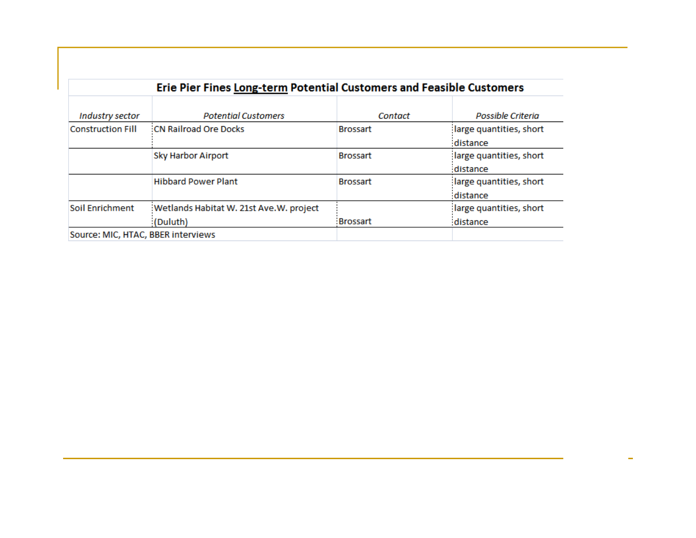|                                    |                                            |                 | Erie Pier Fines Long-term Potential Customers and Feasible Customers |  |  |
|------------------------------------|--------------------------------------------|-----------------|----------------------------------------------------------------------|--|--|
| Industry sector                    | <b>Potential Customers</b>                 | Contact         | Possible Criteria                                                    |  |  |
| <b>Construction Fill</b>           | <b>CN Railroad Ore Docks</b>               | <b>Brossart</b> | large quantities, short                                              |  |  |
|                                    |                                            |                 | distance                                                             |  |  |
|                                    | <b>Sky Harbor Airport</b>                  | <b>Brossart</b> | large quantities, short                                              |  |  |
|                                    |                                            |                 | distance                                                             |  |  |
|                                    | <b>Hibbard Power Plant</b>                 | <b>Brossart</b> | large quantities, short                                              |  |  |
|                                    |                                            |                 | distance                                                             |  |  |
| <b>Soil Enrichment</b>             | : Wetlands Habitat W. 21st Ave. W. project |                 | large quantities, short                                              |  |  |
|                                    | (Duluth)                                   | :Brossart       | distance                                                             |  |  |
| Source: MIC, HTAC, BBER interviews |                                            |                 |                                                                      |  |  |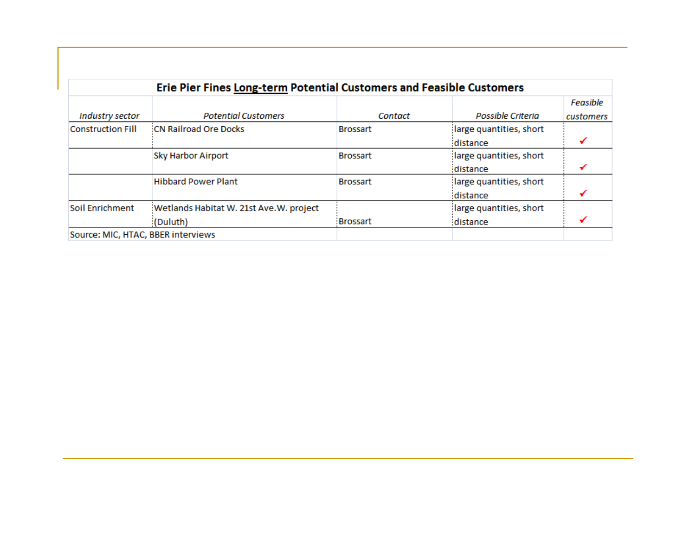| Erie Pier Fines Long-term Potential Customers and Feasible Customers |                                            |                 |                         |           |  |  |
|----------------------------------------------------------------------|--------------------------------------------|-----------------|-------------------------|-----------|--|--|
|                                                                      |                                            |                 |                         | Feasible  |  |  |
| Industry sector                                                      | <b>Potential Customers</b>                 | Contact         | Possible Criteria       | customers |  |  |
| <b>Construction Fill</b>                                             | <b>CN Railroad Ore Docks</b>               | <b>Brossart</b> | large quantities, short |           |  |  |
|                                                                      |                                            |                 | distance                |           |  |  |
|                                                                      | <b>Sky Harbor Airport</b>                  | <b>Brossart</b> | large quantities, short |           |  |  |
|                                                                      |                                            |                 | distance                |           |  |  |
|                                                                      | <b>Hibbard Power Plant</b>                 | <b>Brossart</b> | large quantities, short |           |  |  |
|                                                                      |                                            |                 | distance                |           |  |  |
| <b>Soil Enrichment</b>                                               | : Wetlands Habitat W. 21st Ave. W. project |                 | large quantities, short |           |  |  |
|                                                                      | (Duluth)                                   | <b>Brossart</b> | distance                |           |  |  |
| Source: MIC, HTAC, BBER interviews                                   |                                            |                 |                         |           |  |  |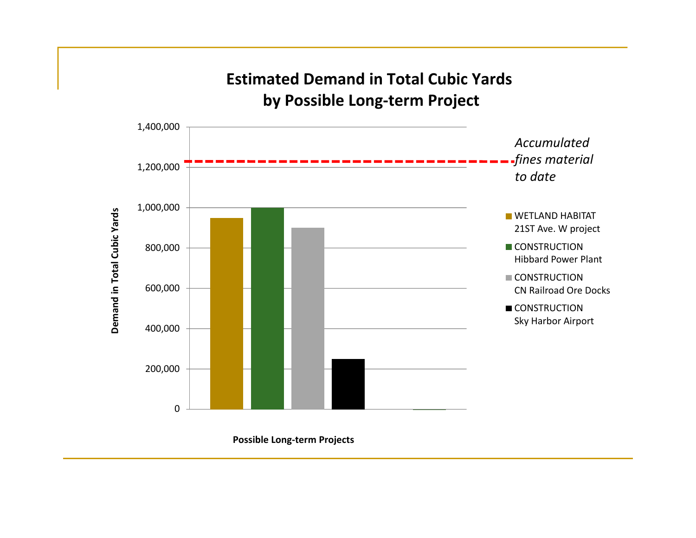

 **Possible Long-term Projects**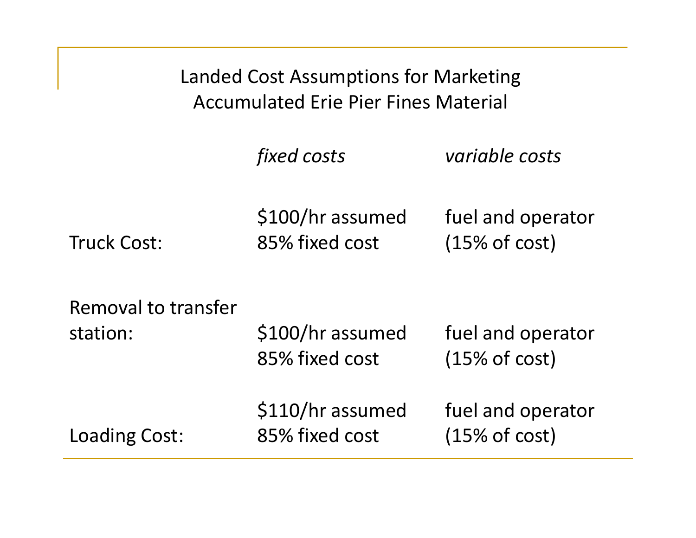| Landed Cost Assumptions for Marketing<br><b>Accumulated Erie Pier Fines Material</b> |                                    |                                    |  |  |
|--------------------------------------------------------------------------------------|------------------------------------|------------------------------------|--|--|
|                                                                                      | <i>fixed costs</i>                 | variable costs                     |  |  |
| <b>Truck Cost:</b>                                                                   | \$100/hr assumed<br>85% fixed cost | fuel and operator<br>(15% of cost) |  |  |
| Removal to transfer<br>station:                                                      | \$100/hr assumed<br>85% fixed cost | fuel and operator<br>(15% of cost) |  |  |
| Loading Cost:                                                                        | \$110/hr assumed<br>85% fixed cost | fuel and operator<br>(15% of cost) |  |  |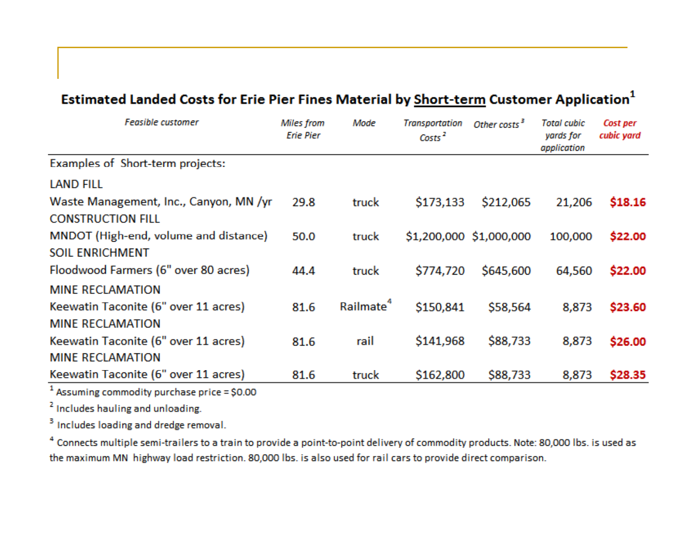| <b>Feasible customer</b>                                           | <b>Miles from</b><br><b>Erie Pier</b> | Mode                  | Transportation<br>Costs <sup>2</sup> | Other costs <sup>3</sup> | <b>Total cubic</b><br>yards for<br>application | Cost per<br>cubic yard |
|--------------------------------------------------------------------|---------------------------------------|-----------------------|--------------------------------------|--------------------------|------------------------------------------------|------------------------|
| Examples of Short-term projects:                                   |                                       |                       |                                      |                          |                                                |                        |
| <b>LAND FILL</b>                                                   |                                       |                       |                                      |                          |                                                |                        |
| Waste Management, Inc., Canyon, MN /yr<br><b>CONSTRUCTION FILL</b> | 29.8                                  | truck                 | \$173,133                            | \$212,065                | 21,206                                         | \$18.16                |
| MNDOT (High-end, volume and distance)<br><b>SOIL ENRICHMENT</b>    | 50.0                                  | truck                 |                                      | \$1,200,000 \$1,000,000  | 100,000                                        | \$22.00                |
| Floodwood Farmers (6" over 80 acres)                               | 44.4                                  | truck                 | \$774,720                            | \$645,600                | 64,560                                         | \$22.00                |
| <b>MINE RECLAMATION</b>                                            |                                       |                       |                                      |                          |                                                |                        |
| Keewatin Taconite (6" over 11 acres)<br><b>MINE RECLAMATION</b>    | 81.6                                  | Railmate <sup>4</sup> | \$150,841                            | \$58,564                 | 8,873                                          | \$23.60                |
| Keewatin Taconite (6" over 11 acres)<br><b>MINE RECLAMATION</b>    | 81.6                                  | rail                  | \$141,968                            | \$88,733                 | 8,873                                          | \$26.00                |
| Keewatin Taconite (6" over 11 acres)                               | 81.6                                  | truck                 | \$162,800                            | \$88,733                 | 8,873                                          | \$28.35                |

#### Estimated Landed Costs for Erie Pier Fines Material by Short-term Customer Application<sup>1</sup>

 $1$  Assuming commodity purchase price = \$0.00

<sup>2</sup> Includes hauling and unloading.

<sup>3</sup> Includes loading and dredge removal.

<sup>4</sup> Connects multiple semi-trailers to a train to provide a point-to-point delivery of commodity products. Note: 80,000 lbs. is used as the maximum MN highway load restriction. 80,000 lbs. is also used for rail cars to provide direct comparison.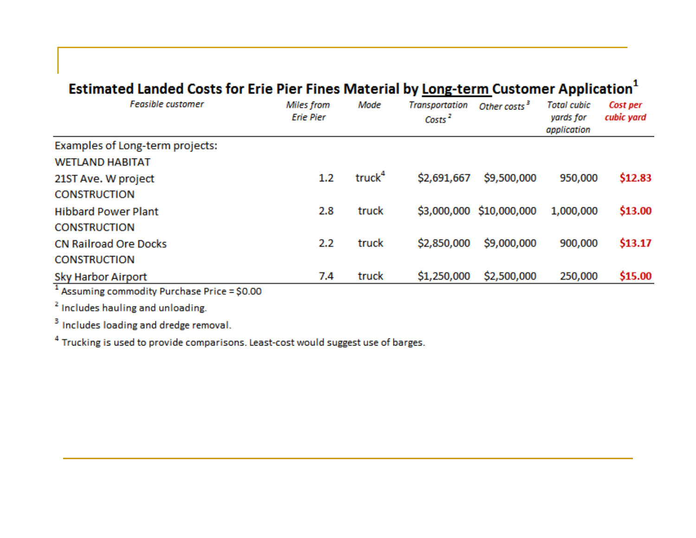### Estimated Landed Costs for Erie Pier Fines Material by Long-term Customer Application<sup>1</sup>

| <b>Feasible customer</b>                                                    | <b>Miles</b> from<br><b>Erie Pier</b> | Mode               | <b>Transportation</b><br>Costs <sup>2</sup> | Other costs <sup>3</sup> | <b>Total cubic</b><br>yards for<br>application | Cost per<br>cubic yard |
|-----------------------------------------------------------------------------|---------------------------------------|--------------------|---------------------------------------------|--------------------------|------------------------------------------------|------------------------|
| Examples of Long-term projects:<br><b>WETLAND HABITAT</b>                   |                                       |                    |                                             |                          |                                                |                        |
| 21ST Ave. W project<br><b>CONSTRUCTION</b>                                  | $1.2\,$                               | truck <sup>4</sup> | \$2,691,667                                 | \$9,500,000              | 950,000                                        | \$12.83                |
| <b>Hibbard Power Plant</b><br><b>CONSTRUCTION</b>                           | 2.8                                   | truck              |                                             | \$3,000,000 \$10,000,000 | 1,000,000                                      | \$13.00                |
| <b>CN Railroad Ore Docks</b><br><b>CONSTRUCTION</b>                         | 2.2                                   | truck              | \$2,850,000                                 | \$9,000,000              | 900,000                                        | \$13.17                |
| <b>Sky Harbor Airport</b><br>$1$ Assuming commodity Purchase Price = \$0.00 | 7.4                                   | truck              | \$1,250,000                                 | \$2,500,000              | 250,000                                        | \$15.00                |

<sup>2</sup> Includes hauling and unloading.

<sup>3</sup> Includes loading and dredge removal.

<sup>4</sup> Trucking is used to provide comparisons. Least-cost would suggest use of barges.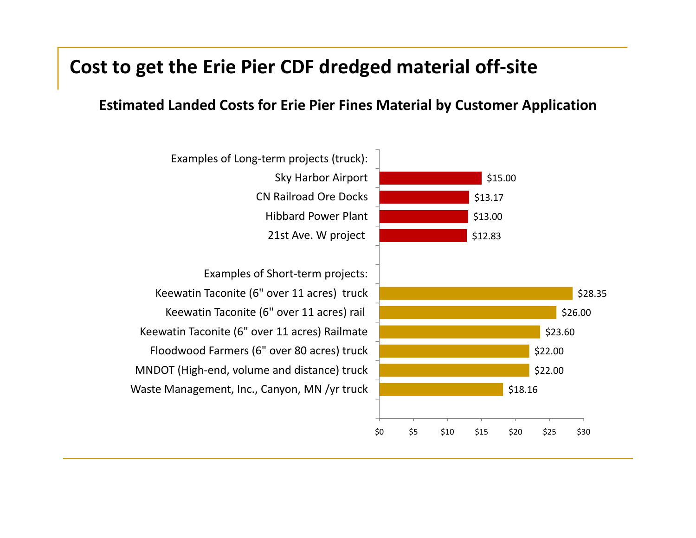### **Cost to get the Erie Pier CDF dredged material off‐site**

#### **d d d f l b l EstimatedLandedCosts for Erie Pier Fines Materialby Customer Application**

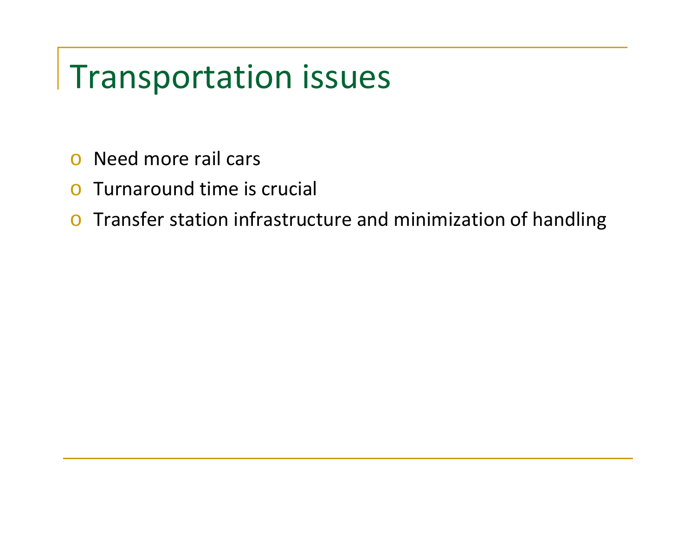# Transportation issues

- oNeed more rail cars
- oTurnaround time is crucial
- $\circ$  Transfer station infrastructure and minimization of handling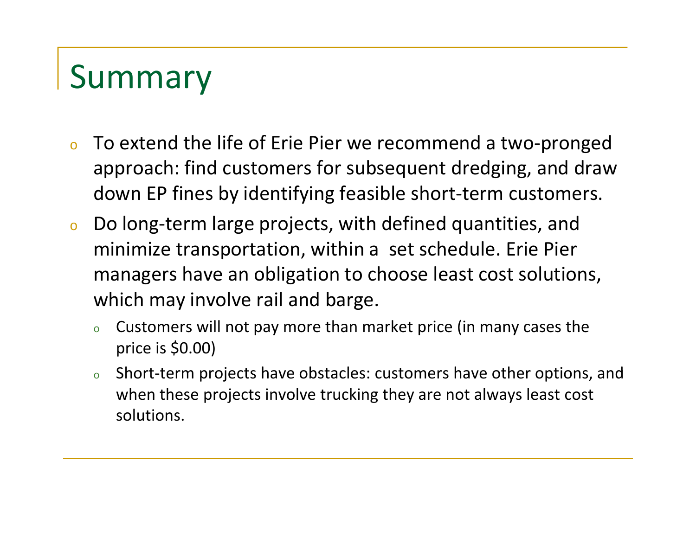# Summary

- o To extend the life of Erie Pier we recommend <sup>a</sup> two‐pronged approach: find customers for subsequent dredging, and draw down EP fines by identifying feasible short‐term customers.
- o Do long‐term large projects, with defined quantities, and minimize transportation, within <sup>a</sup> set schedule. Erie Pier managers have an obligation to choose least cost solutions, which may involve rail and barge.
	- o Customers will not pay more than market price (in many cases the price is \$0.00)
	- o $\,\circ\,\,\,\,$  Short-term projects have obstacles: customers have other options, and when these projects involve trucking they are not always least cost solutions.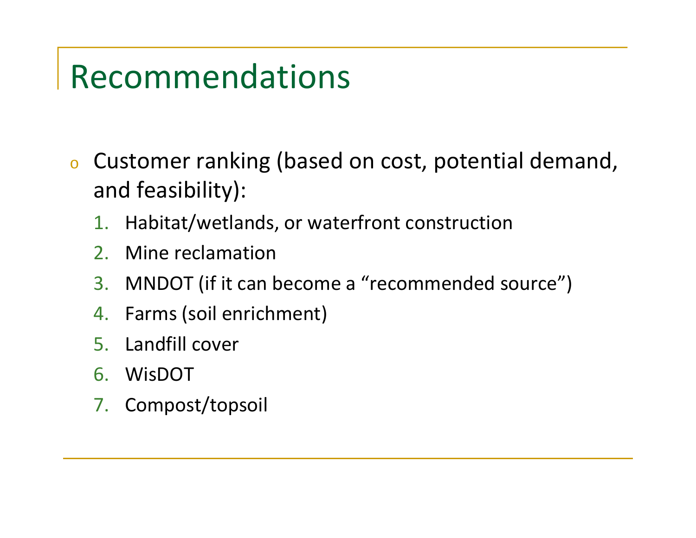# Recommendations

- o Customer ranking (based on cost, potential demand, and feasibility):
	- 1.Habitat/wetlands, or waterfront construction
	- $\mathcal{P}$ Mine reclamation
	- 3. MNDOT (if it can become a "recommended source")
	- 4. Farms (soil enrichment)
	- 5. Landfill cover
	- 6. WisDOT
	- 7. Compost/topsoil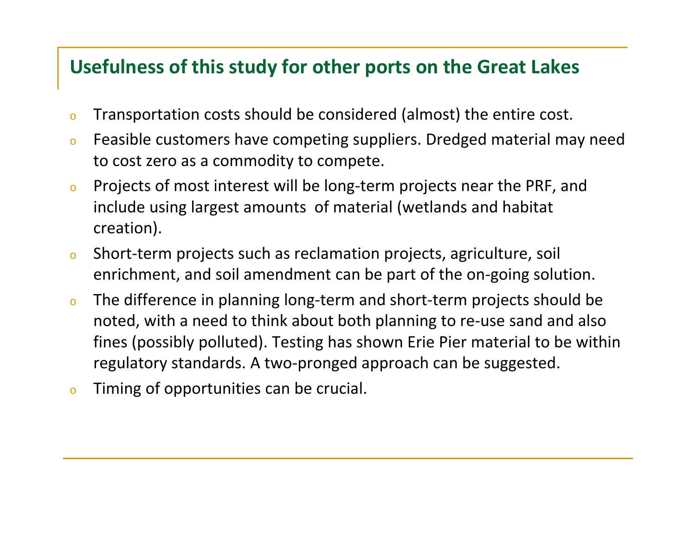# **Usefulness of this study for other ports on the Great Lakes**

- oTransportation costs should be considered (almost) the entire cost.
- o Feasible customers have competing suppliers. Dredged material may need to cost zero as <sup>a</sup> commodity to compete.
- o Projects of most interest will be long‐term projects near the PRF, and include using largest amounts of material (wetlands and habitat creation).
- o $\circ$  Short-term projects such as reclamation projects, agriculture, soil enrichment, and soil amendment can be part of the on‐going solution.
- o The difference in planning long‐term and short‐term projects should be noted, with <sup>a</sup> need to think about both planning to re‐use sand and also fines (possibly polluted). Testing has shown Erie Pier material to be within regulatory standards. A two-pronged approach can be suggested.
- oTiming of opportunities can be crucial.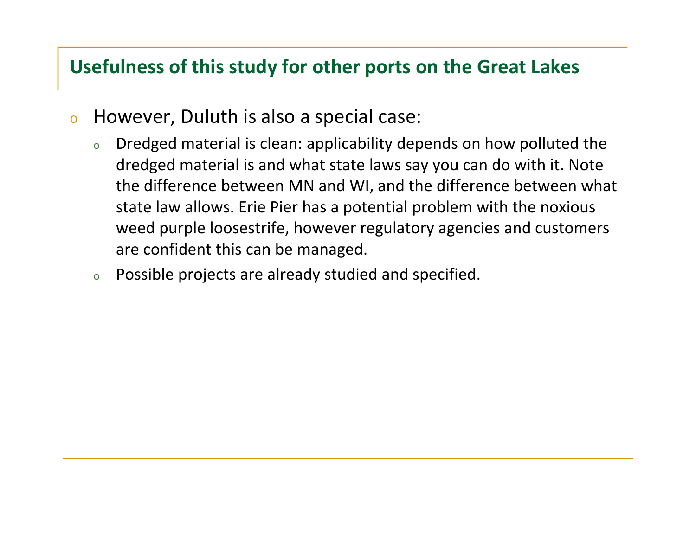# **Usefulness of this study for other ports on the Great Lakes**

- o However, Duluth is also <sup>a</sup> special case:
	- o Dredged material is clean: applicability depends on how polluted the dredged material is and what state laws say you can do with it. Note the difference between MN and WI, and the difference between what state law allows. Erie Pier has <sup>a</sup> potential problem with the noxious weed purple loosestrife, however regulatory agencies and customers are confident this can be managed.
	- oPossible projects are already studied and specified.